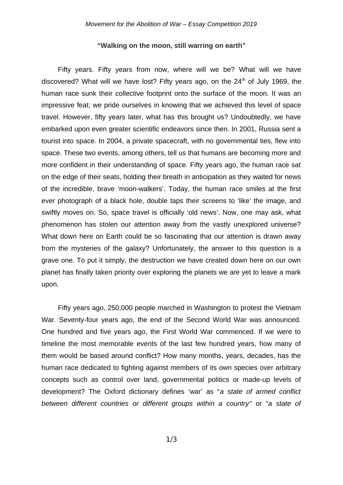## **"Walking on the moon, still warring on earth"**

Fifty years. Fifty years from now, where will we be? What will we have discovered? What will we have lost? Fifty years ago, on the  $24<sup>th</sup>$  of July 1969, the human race sunk their collective footprint onto the surface of the moon. It was an impressive feat; we pride ourselves in knowing that we achieved this level of space travel. However, fifty years later, what has this brought us? Undoubtedly, we have embarked upon even greater scientific endeavors since then. In 2001, Russia sent a tourist into space. In 2004, a private spacecraft, with no governmental ties, flew into space. These two events, among others, tell us that humans are becoming more and more confident in their understanding of space. Fifty years ago, the human race sat on the edge of their seats, holding their breath in anticipation as they waited for news of the incredible, brave 'moon-walkers'. Today, the human race smiles at the first ever photograph of a black hole, double taps their screens to 'like' the image, and swiftly moves on. So, space travel is officially 'old news'. Now, one may ask, what phenomenon has stolen our attention away from the vastly unexplored universe? What down here on Earth could be so fascinating that our attention is drawn away from the mysteries of the galaxy? Unfortunately, the answer to this question is a grave one. To put it simply, the destruction we have created down here on our own planet has finally taken priority over exploring the planets we are yet to leave a mark upon.

Fifty years ago, 250,000 people marched in Washington to protest the Vietnam War. Seventy-four years ago, the end of the Second World War was announced. One hundred and five years ago, the First World War commenced. If we were to timeline the most memorable events of the last few hundred years, how many of them would be based around conflict? How many months, years, decades, has the human race dedicated to fighting against members of its own species over arbitrary concepts such as control over land, governmental politics or made-up levels of development? The Oxford dictionary defines 'war' as "*a state of armed conflict between different countries or different groups within a country*" or "*a state of*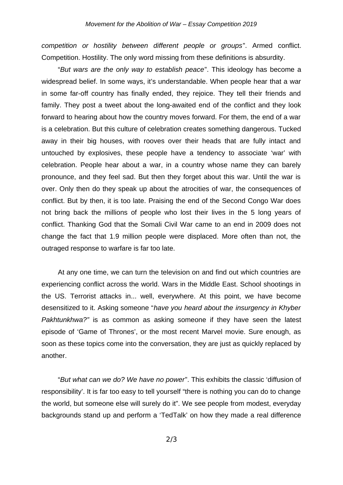*competition or hostility between different people or groups*". Armed conflict. Competition. Hostility. The only word missing from these definitions is absurdity.

"*But wars are the only way to establish peace*". This ideology has become a widespread belief. In some ways, it's understandable. When people hear that a war in some far-off country has finally ended, they rejoice. They tell their friends and family. They post a tweet about the long-awaited end of the conflict and they look forward to hearing about how the country moves forward. For them, the end of a war is a celebration. But this culture of celebration creates something dangerous. Tucked away in their big houses, with rooves over their heads that are fully intact and untouched by explosives, these people have a tendency to associate 'war' with celebration. People hear about a war, in a country whose name they can barely pronounce, and they feel sad. But then they forget about this war. Until the war is over. Only then do they speak up about the atrocities of war, the consequences of conflict. But by then, it is too late. Praising the end of the Second Congo War does not bring back the millions of people who lost their lives in the 5 long years of conflict. Thanking God that the Somali Civil War came to an end in 2009 does not change the fact that 1.9 million people were displaced. More often than not, the outraged response to warfare is far too late.

At any one time, we can turn the television on and find out which countries are experiencing conflict across the world. Wars in the Middle East. School shootings in the US. Terrorist attacks in... well, everywhere. At this point, we have become desensitized to it. Asking someone "*have you heard about the insurgency in Khyber Pakhtunkhwa?"* is as common as asking someone if they have seen the latest episode of 'Game of Thrones', or the most recent Marvel movie. Sure enough, as soon as these topics come into the conversation, they are just as quickly replaced by another.

"*But what can we do? We have no power*". This exhibits the classic 'diffusion of responsibility'. It is far too easy to tell yourself "there is nothing you can do to change the world, but someone else will surely do it". We see people from modest, everyday backgrounds stand up and perform a 'TedTalk' on how they made a real difference